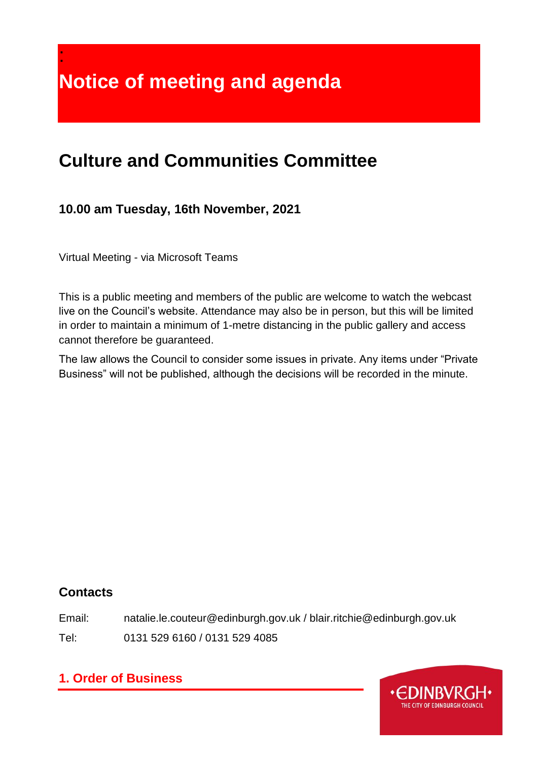**Notice of meeting and agenda**

# **Culture and Communities Committee**

# **10.00 am Tuesday, 16th November, 2021**

Virtual Meeting - via Microsoft Teams

:

This is a public meeting and members of the public are welcome to watch the webcast live on the Council's website. Attendance may also be in person, but this will be limited in order to maintain a minimum of 1-metre distancing in the public gallery and access cannot therefore be guaranteed.

The law allows the Council to consider some issues in private. Any items under "Private Business" will not be published, although the decisions will be recorded in the minute.

### **Contacts**

Email: natalie.le.couteur@edinburgh.gov.uk / blair.ritchie@edinburgh.gov.uk

Tel: 0131 529 6160 / 0131 529 4085

# **1. Order of Business**

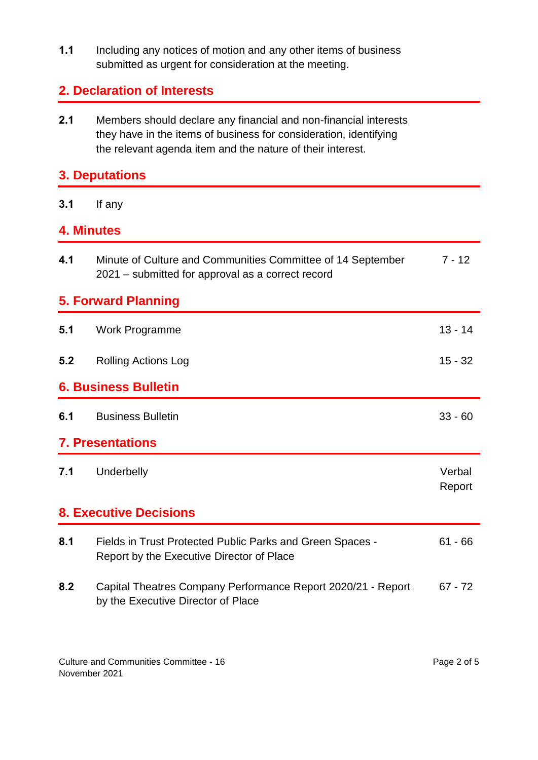**1.1** Including any notices of motion and any other items of business submitted as urgent for consideration at the meeting.

### **2. Declaration of Interests**

**2.1** Members should declare any financial and non-financial interests they have in the items of business for consideration, identifying the relevant agenda item and the nature of their interest.

### **3. Deputations**

**3.1** If any

### **4. Minutes**

| 4.1                           | Minute of Culture and Communities Committee of 14 September<br>2021 – submitted for approval as a correct record | $7 - 12$         |  |
|-------------------------------|------------------------------------------------------------------------------------------------------------------|------------------|--|
| <b>5. Forward Planning</b>    |                                                                                                                  |                  |  |
| 5.1                           | Work Programme                                                                                                   | $13 - 14$        |  |
| 5.2                           | <b>Rolling Actions Log</b>                                                                                       | $15 - 32$        |  |
| <b>6. Business Bulletin</b>   |                                                                                                                  |                  |  |
| 6.1                           | <b>Business Bulletin</b>                                                                                         | $33 - 60$        |  |
| <b>7. Presentations</b>       |                                                                                                                  |                  |  |
| 7.1                           | Underbelly                                                                                                       | Verbal<br>Report |  |
| <b>8. Executive Decisions</b> |                                                                                                                  |                  |  |
| 8.1                           | Fields in Trust Protected Public Parks and Green Spaces -<br>Report by the Executive Director of Place           | $61 - 66$        |  |
| 8.2                           | Capital Theatres Company Performance Report 2020/21 - Report<br>by the Executive Director of Place               | $67 - 72$        |  |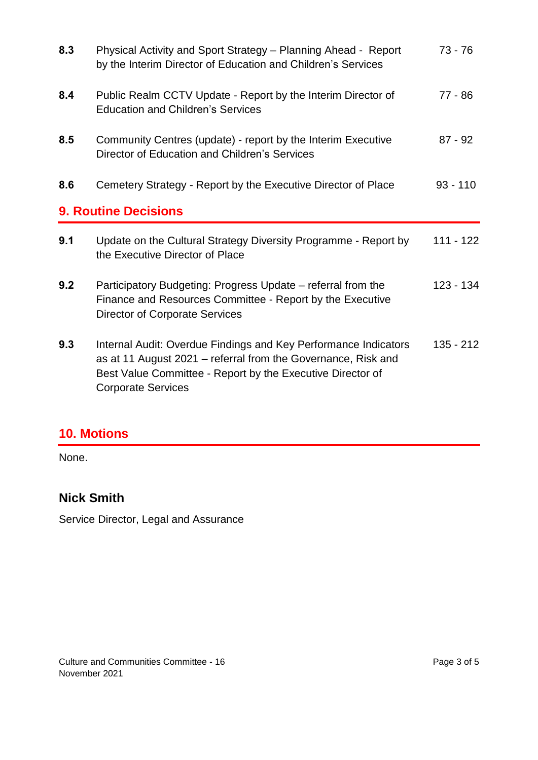| 8.3 | Physical Activity and Sport Strategy - Planning Ahead - Report<br>by the Interim Director of Education and Children's Services                                                                                              | $73 - 76$   |
|-----|-----------------------------------------------------------------------------------------------------------------------------------------------------------------------------------------------------------------------------|-------------|
| 8.4 | Public Realm CCTV Update - Report by the Interim Director of<br><b>Education and Children's Services</b>                                                                                                                    | $77 - 86$   |
| 8.5 | Community Centres (update) - report by the Interim Executive<br>Director of Education and Children's Services                                                                                                               | $87 - 92$   |
| 8.6 | Cemetery Strategy - Report by the Executive Director of Place                                                                                                                                                               | $93 - 110$  |
|     | <b>9. Routine Decisions</b>                                                                                                                                                                                                 |             |
| 9.1 | Update on the Cultural Strategy Diversity Programme - Report by<br>the Executive Director of Place                                                                                                                          | $111 - 122$ |
| 9.2 | Participatory Budgeting: Progress Update – referral from the<br>Finance and Resources Committee - Report by the Executive<br><b>Director of Corporate Services</b>                                                          | $123 - 134$ |
| 9.3 | Internal Audit: Overdue Findings and Key Performance Indicators<br>as at 11 August 2021 – referral from the Governance, Risk and<br>Best Value Committee - Report by the Executive Director of<br><b>Corporate Services</b> | $135 - 212$ |

# **10. Motions**

None.

# **Nick Smith**

Service Director, Legal and Assurance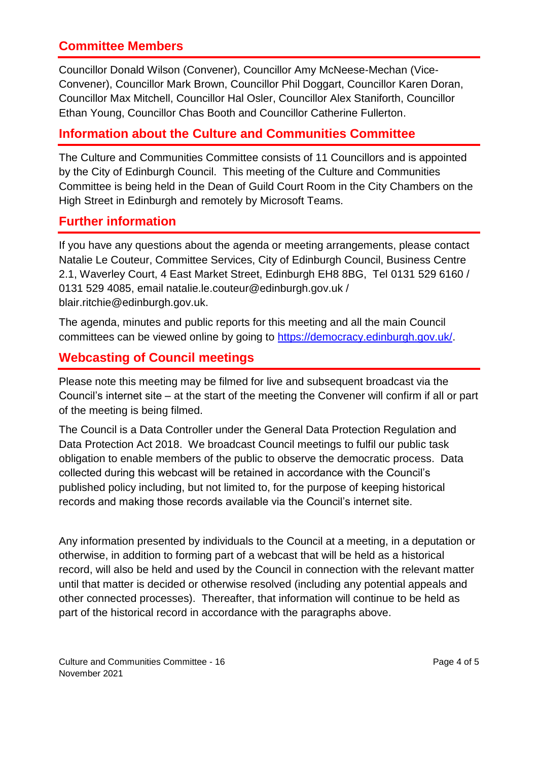### **Committee Members**

Councillor Donald Wilson (Convener), Councillor Amy McNeese-Mechan (Vice-Convener), Councillor Mark Brown, Councillor Phil Doggart, Councillor Karen Doran, Councillor Max Mitchell, Councillor Hal Osler, Councillor Alex Staniforth, Councillor Ethan Young, Councillor Chas Booth and Councillor Catherine Fullerton.

### **Information about the Culture and Communities Committee**

The Culture and Communities Committee consists of 11 Councillors and is appointed by the City of Edinburgh Council. This meeting of the Culture and Communities Committee is being held in the Dean of Guild Court Room in the City Chambers on the High Street in Edinburgh and remotely by Microsoft Teams.

### **Further information**

If you have any questions about the agenda or meeting arrangements, please contact Natalie Le Couteur, Committee Services, City of Edinburgh Council, Business Centre 2.1, Waverley Court, 4 East Market Street, Edinburgh EH8 8BG, Tel 0131 529 6160 / 0131 529 4085, email natalie.le.couteur@edinburgh.gov.uk / blair.ritchie@edinburgh.gov.uk.

The agenda, minutes and public reports for this meeting and all the main Council committees can be viewed online by going to [https://democracy.edinburgh.gov.uk/.](https://democracy.edinburgh.gov.uk/)

### **Webcasting of Council meetings**

Please note this meeting may be filmed for live and subsequent broadcast via the Council's internet site – at the start of the meeting the Convener will confirm if all or part of the meeting is being filmed.

The Council is a Data Controller under the General Data Protection Regulation and Data Protection Act 2018. We broadcast Council meetings to fulfil our public task obligation to enable members of the public to observe the democratic process. Data collected during this webcast will be retained in accordance with the Council's published policy including, but not limited to, for the purpose of keeping historical records and making those records available via the Council's internet site.

Any information presented by individuals to the Council at a meeting, in a deputation or otherwise, in addition to forming part of a webcast that will be held as a historical record, will also be held and used by the Council in connection with the relevant matter until that matter is decided or otherwise resolved (including any potential appeals and other connected processes). Thereafter, that information will continue to be held as part of the historical record in accordance with the paragraphs above.